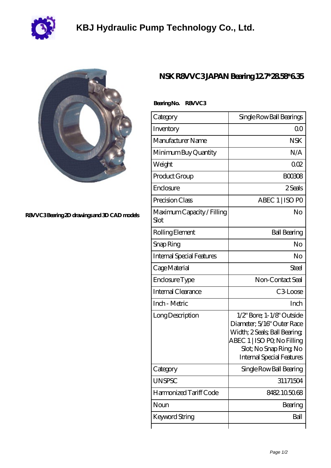

## **[KBJ Hydraulic Pump Technology Co., Ltd.](https://wfumb2011.org)**

 **Bearing No. R8VVC3**



**[R8VVC3 Bearing 2D drawings and 3D CAD models](https://wfumb2011.org/pic-239360.html)**

## **[NSK R8VVC3 JAPAN Bearing 12.7\\*28.58\\*6.35](https://wfumb2011.org/bh-239360-nsk-r8vvc3-japan-bearing-12-7-28-58-6-35.html)**

| Category                           | Single Row Ball Bearings                                                                                                                                                                |
|------------------------------------|-----------------------------------------------------------------------------------------------------------------------------------------------------------------------------------------|
| Inventory                          | 00                                                                                                                                                                                      |
| Manufacturer Name                  | <b>NSK</b>                                                                                                                                                                              |
| Minimum Buy Quantity               | N/A                                                                                                                                                                                     |
| Weight                             | 002                                                                                                                                                                                     |
| Product Group                      | <b>BOO308</b>                                                                                                                                                                           |
| Enclosure                          | 2 Seals                                                                                                                                                                                 |
| Precision Class                    | ABEC 1   ISO PO                                                                                                                                                                         |
| Maximum Capacity / Filling<br>Slot | No                                                                                                                                                                                      |
| Rolling Element                    | <b>Ball Bearing</b>                                                                                                                                                                     |
| Snap Ring                          | No                                                                                                                                                                                      |
| Internal Special Features          | No                                                                                                                                                                                      |
| Cage Material                      | Steel                                                                                                                                                                                   |
| Enclosure Type                     | Non-Contact Seal                                                                                                                                                                        |
| Internal Clearance                 | C3Loose                                                                                                                                                                                 |
| Inch - Metric                      | Inch                                                                                                                                                                                    |
| Long Description                   | $1/2$ " Bore; 1-1/8" Outside<br>Diameter; 5/16" Outer Race<br>Width; 2 Seals; Ball Bearing;<br>ABEC 1   ISO PQ No Filling<br>Slot; No Snap Ring, No<br><b>Internal Special Features</b> |
| Category                           | Single Row Ball Bearing                                                                                                                                                                 |
| <b>UNSPSC</b>                      | 31171504                                                                                                                                                                                |
| Harmonized Tariff Code             | 8482.105068                                                                                                                                                                             |
| Noun                               | Bearing                                                                                                                                                                                 |
| <b>Keyword String</b>              | Ball                                                                                                                                                                                    |
|                                    |                                                                                                                                                                                         |